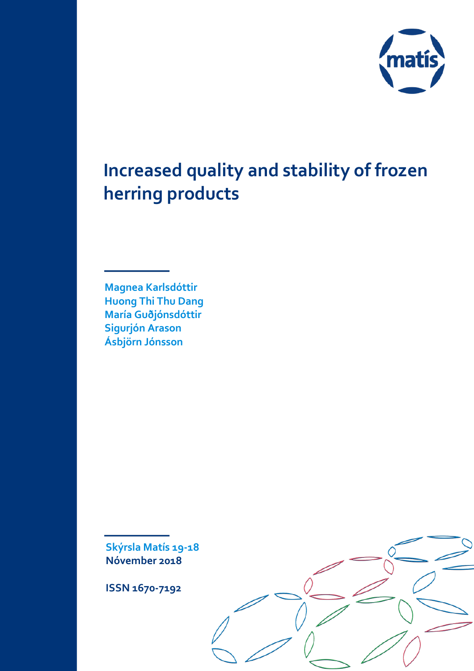

# **Increased quality and stability of frozen herring products**

**Magnea Karlsdóttir Huong Thi Thu Dang María Guðjónsdóttir Sigurjón Arason Ásbjörn Jónsson**

**Skýrsla Matís 19-18 Nóvember 2018**

**ISSN 1670-7192**

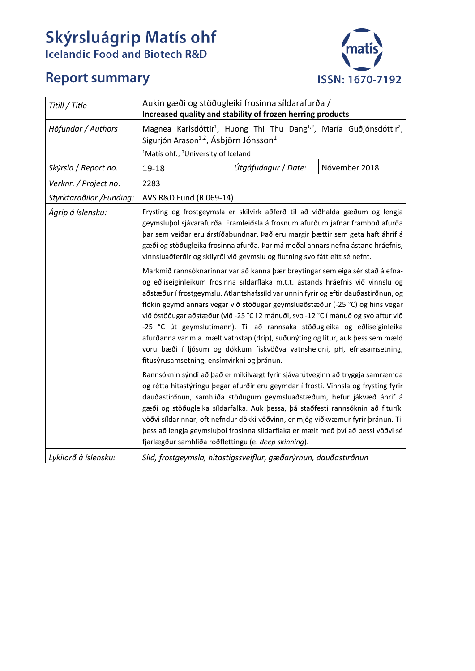# **Skýrsluágrip Matís ohf**<br>Icelandic Food and Biotech R&D

# **Report summary**



| Titill / Title           | Aukin gæði og stöðugleiki frosinna síldarafurða /<br>Increased quality and stability of frozen herring products                                                                                                                                                                                                                                                                                                                                                                                                                                                                                                                                                                                                                                                                                                                                                                                                                                                                                                                                                                                                                           |                     |               |  |
|--------------------------|-------------------------------------------------------------------------------------------------------------------------------------------------------------------------------------------------------------------------------------------------------------------------------------------------------------------------------------------------------------------------------------------------------------------------------------------------------------------------------------------------------------------------------------------------------------------------------------------------------------------------------------------------------------------------------------------------------------------------------------------------------------------------------------------------------------------------------------------------------------------------------------------------------------------------------------------------------------------------------------------------------------------------------------------------------------------------------------------------------------------------------------------|---------------------|---------------|--|
| Höfundar / Authors       | Magnea Karlsdóttir <sup>1</sup> , Huong Thi Thu Dang <sup>1,2</sup> , María Guðjónsdóttir <sup>2</sup> ,<br>Sigurjón Arason <sup>1,2</sup> , Ásbjörn Jónsson <sup>1</sup>                                                                                                                                                                                                                                                                                                                                                                                                                                                                                                                                                                                                                                                                                                                                                                                                                                                                                                                                                                 |                     |               |  |
|                          | <sup>1</sup> Matís ohf.; <sup>2</sup> University of Iceland                                                                                                                                                                                                                                                                                                                                                                                                                                                                                                                                                                                                                                                                                                                                                                                                                                                                                                                                                                                                                                                                               |                     |               |  |
| Skýrsla / Report no.     | 19-18                                                                                                                                                                                                                                                                                                                                                                                                                                                                                                                                                                                                                                                                                                                                                                                                                                                                                                                                                                                                                                                                                                                                     | Útgáfudagur / Date: | Nóvember 2018 |  |
| Verknr. / Project no.    | 2283                                                                                                                                                                                                                                                                                                                                                                                                                                                                                                                                                                                                                                                                                                                                                                                                                                                                                                                                                                                                                                                                                                                                      |                     |               |  |
| Styrktaraðilar /Funding: | AVS R&D Fund (R 069-14)                                                                                                                                                                                                                                                                                                                                                                                                                                                                                                                                                                                                                                                                                                                                                                                                                                                                                                                                                                                                                                                                                                                   |                     |               |  |
| Ágrip á íslensku:        | Frysting og frostgeymsla er skilvirk aðferð til að viðhalda gæðum og lengja<br>geymsluþol sjávarafurða. Framleiðsla á frosnum afurðum jafnar framboð afurða<br>þar sem veiðar eru árstíðabundnar. Það eru margir þættir sem geta haft áhrif á<br>gæði og stöðugleika frosinna afurða. Þar má meðal annars nefna ástand hráefnis,<br>vinnsluaðferðir og skilyrði við geymslu og flutning svo fátt eitt sé nefnt.<br>Markmið rannsóknarinnar var að kanna þær breytingar sem eiga sér stað á efna-<br>og eðliseiginleikum frosinna síldarflaka m.t.t. ástands hráefnis við vinnslu og<br>aðstæður í frostgeymslu. Atlantshafssíld var unnin fyrir og eftir dauðastirðnun, og<br>flökin geymd annars vegar við stöðugar geymsluaðstæður (-25 °C) og hins vegar<br>við óstöðugar aðstæður (við -25 °C í 2 mánuði, svo -12 °C í mánuð og svo aftur við<br>-25 °C út geymslutímann). Til að rannsaka stöðugleika og eðliseiginleika<br>afurðanna var m.a. mælt vatnstap (drip), suðunýting og litur, auk þess sem mæld<br>voru bæði í ljósum og dökkum fiskvöðva vatnsheldni, pH, efnasamsetning,<br>fitusýrusamsetning, ensímvirkni og þránun. |                     |               |  |
|                          |                                                                                                                                                                                                                                                                                                                                                                                                                                                                                                                                                                                                                                                                                                                                                                                                                                                                                                                                                                                                                                                                                                                                           |                     |               |  |
|                          | Rannsóknin sýndi að það er mikilvægt fyrir sjávarútveginn að tryggja samræmda<br>og rétta hitastýringu þegar afurðir eru geymdar í frosti. Vinnsla og frysting fyrir<br>dauðastirðnun, samhliða stöðugum geymsluaðstæðum, hefur jákvæð áhrif á<br>gæði og stöðugleika síldarfalka. Auk þessa, þá staðfesti rannsóknin að fituríki<br>vöðvi síldarinnar, oft nefndur dökki vöðvinn, er mjög viðkvæmur fyrir þránun. Til<br>þess að lengja geymslubol frosinna síldarflaka er mælt með því að þessi vöðvi sé<br>fjarlægður samhliða roðflettingu (e. deep skinning).                                                                                                                                                                                                                                                                                                                                                                                                                                                                                                                                                                        |                     |               |  |
| Lykilorð á íslensku:     | Síld, frostgeymsla, hitastigssveiflur, gæðarýrnun, dauðastirðnun                                                                                                                                                                                                                                                                                                                                                                                                                                                                                                                                                                                                                                                                                                                                                                                                                                                                                                                                                                                                                                                                          |                     |               |  |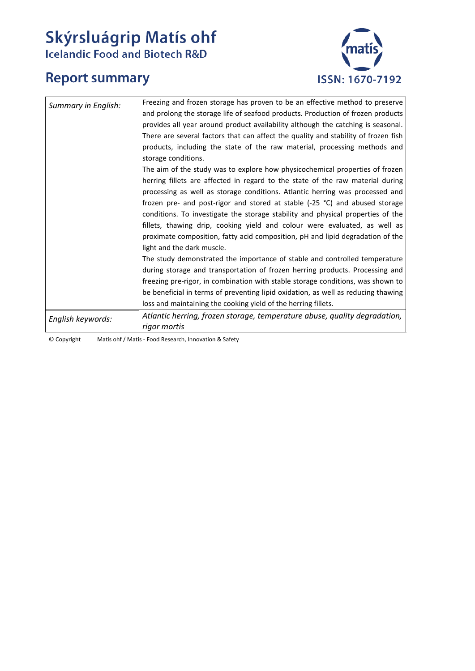# **Skýrsluágrip Matís ohf**<br>Icelandic Food and Biotech R&D

# **Report summary**



| Summary in English: | Freezing and frozen storage has proven to be an effective method to preserve       |
|---------------------|------------------------------------------------------------------------------------|
|                     | and prolong the storage life of seafood products. Production of frozen products    |
|                     | provides all year around product availability although the catching is seasonal.   |
|                     | There are several factors that can affect the quality and stability of frozen fish |
|                     | products, including the state of the raw material, processing methods and          |
|                     | storage conditions.                                                                |
|                     | The aim of the study was to explore how physicochemical properties of frozen       |
|                     | herring fillets are affected in regard to the state of the raw material during     |
|                     | processing as well as storage conditions. Atlantic herring was processed and       |
|                     | frozen pre- and post-rigor and stored at stable (-25 °C) and abused storage        |
|                     | conditions. To investigate the storage stability and physical properties of the    |
|                     | fillets, thawing drip, cooking yield and colour were evaluated, as well as         |
|                     | proximate composition, fatty acid composition, pH and lipid degradation of the     |
|                     | light and the dark muscle.                                                         |
|                     | The study demonstrated the importance of stable and controlled temperature         |
|                     | during storage and transportation of frozen herring products. Processing and       |
|                     | freezing pre-rigor, in combination with stable storage conditions, was shown to    |
|                     | be beneficial in terms of preventing lipid oxidation, as well as reducing thawing  |
|                     | loss and maintaining the cooking yield of the herring fillets.                     |
| English keywords:   | Atlantic herring, frozen storage, temperature abuse, quality degradation,          |
|                     | rigor mortis                                                                       |

© Copyright Matís ohf / Matis - Food Research, Innovation & Safety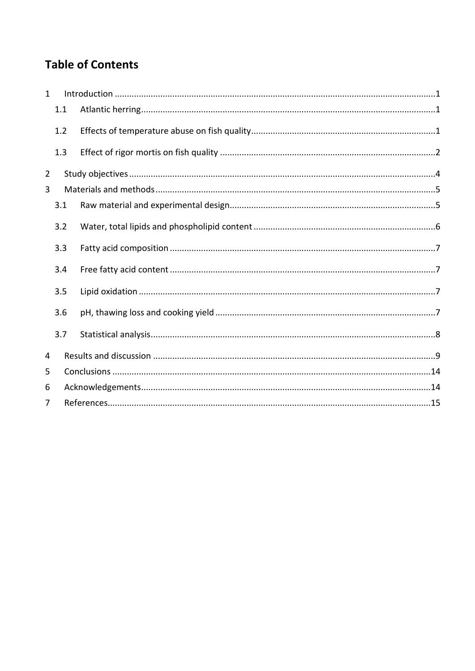## **Table of Contents**

| $\mathbf{1}$   |     |  |  |  |  |
|----------------|-----|--|--|--|--|
|                | 1.1 |  |  |  |  |
|                | 1.2 |  |  |  |  |
|                | 1.3 |  |  |  |  |
| 2              |     |  |  |  |  |
| 3              |     |  |  |  |  |
|                | 3.1 |  |  |  |  |
|                | 3.2 |  |  |  |  |
|                | 3.3 |  |  |  |  |
|                | 3.4 |  |  |  |  |
|                | 3.5 |  |  |  |  |
|                | 3.6 |  |  |  |  |
|                | 3.7 |  |  |  |  |
| 4              |     |  |  |  |  |
| 5              |     |  |  |  |  |
| 6              |     |  |  |  |  |
| $\overline{7}$ |     |  |  |  |  |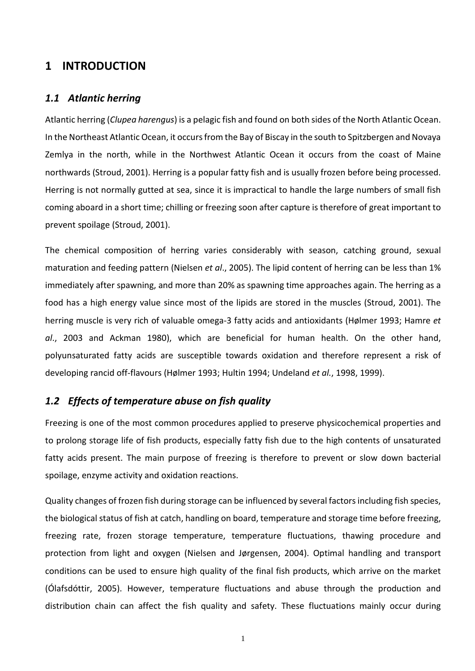#### <span id="page-4-0"></span>**1 INTRODUCTION**

#### <span id="page-4-1"></span>*1.1 Atlantic herring*

Atlantic herring (*Clupea harengus*) is a pelagic fish and found on both sides of the North Atlantic Ocean. In the Northeast Atlantic Ocean, it occurs from the Bay of Biscay in the south to Spitzbergen and Novaya Zemlya in the north, while in the Northwest Atlantic Ocean it occurs from the coast of Maine northwards (Stroud, 2001). Herring is a popular fatty fish and is usually frozen before being processed. Herring is not normally gutted at sea, since it is impractical to handle the large numbers of small fish coming aboard in a short time; chilling or freezing soon after capture is therefore of great important to prevent spoilage (Stroud, 2001).

The chemical composition of herring varies considerably with season, catching ground, sexual maturation and feeding pattern (Nielsen *et al*., 2005). The lipid content of herring can be less than 1% immediately after spawning, and more than 20% as spawning time approaches again. The herring as a food has a high energy value since most of the lipids are stored in the muscles (Stroud, 2001). The herring muscle is very rich of valuable omega-3 fatty acids and antioxidants (Hølmer 1993; Hamre *et al*., 2003 and Ackman 1980), which are beneficial for human health. On the other hand, polyunsaturated fatty acids are susceptible towards oxidation and therefore represent a risk of developing rancid off-flavours (Hølmer 1993; Hultin 1994; Undeland *et al.*, 1998, 1999).

#### <span id="page-4-2"></span>*1.2 Effects of temperature abuse on fish quality*

Freezing is one of the most common procedures applied to preserve physicochemical properties and to prolong storage life of fish products, especially fatty fish due to the high contents of unsaturated fatty acids present. The main purpose of freezing is therefore to prevent or slow down bacterial spoilage, enzyme activity and oxidation reactions.

Quality changes of frozen fish during storage can be influenced by several factors including fish species, the biological status of fish at catch, handling on board, temperature and storage time before freezing, freezing rate, frozen storage temperature, temperature fluctuations, thawing procedure and protection from light and oxygen (Nielsen and Jørgensen, 2004). Optimal handling and transport conditions can be used to ensure high quality of the final fish products, which arrive on the market (Ólafsdóttir, 2005). However, temperature fluctuations and abuse through the production and distribution chain can affect the fish quality and safety. These fluctuations mainly occur during

1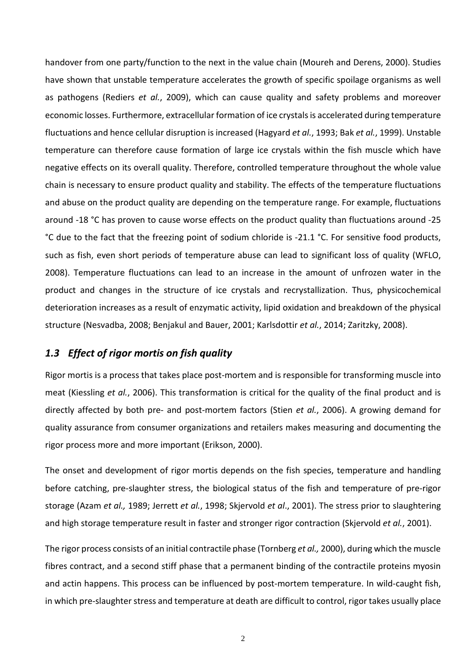handover from one party/function to the next in the value chain (Moureh and Derens, 2000). Studies have shown that unstable temperature accelerates the growth of specific spoilage organisms as well as pathogens (Rediers *et al.*, 2009), which can cause quality and safety problems and moreover economic losses. Furthermore, extracellular formation of ice crystals is accelerated during temperature fluctuations and hence cellular disruption is increased (Hagyard *et al.*, 1993; Bak *et al.*, 1999). Unstable temperature can therefore cause formation of large ice crystals within the fish muscle which have negative effects on its overall quality. Therefore, controlled temperature throughout the whole value chain is necessary to ensure product quality and stability. The effects of the temperature fluctuations and abuse on the product quality are depending on the temperature range. For example, fluctuations around -18 °C has proven to cause worse effects on the product quality than fluctuations around -25 °C due to the fact that the freezing point of sodium chloride is -21.1 °C. For sensitive food products, such as fish, even short periods of temperature abuse can lead to significant loss of quality (WFLO, 2008). Temperature fluctuations can lead to an increase in the amount of unfrozen water in the product and changes in the structure of ice crystals and recrystallization. Thus, physicochemical deterioration increases as a result of enzymatic activity, lipid oxidation and breakdown of the physical structure (Nesvadba, 2008; Benjakul and Bauer, 2001; Karlsdottir *et al.*, 2014; Zaritzky, 2008).

#### <span id="page-5-0"></span>*1.3 Effect of rigor mortis on fish quality*

Rigor mortis is a process that takes place post-mortem and is responsible for transforming muscle into meat (Kiessling *et al.*, 2006). This transformation is critical for the quality of the final product and is directly affected by both pre- and post-mortem factors (Stien *et al.*, 2006). A growing demand for quality assurance from consumer organizations and retailers makes measuring and documenting the rigor process more and more important (Erikson, 2000).

The onset and development of rigor mortis depends on the fish species, temperature and handling before catching, pre-slaughter stress, the biological status of the fish and temperature of pre-rigor storage (Azam *et al.,* 1989; Jerrett *et al.*, 1998; Skjervold *et al*., 2001). The stress prior to slaughtering and high storage temperature result in faster and stronger rigor contraction (Skjervold *et al.*, 2001).

The rigor process consists of an initial contractile phase (Tornberg *et al.,* 2000), during which the muscle fibres contract, and a second stiff phase that a permanent binding of the contractile proteins myosin and actin happens. This process can be influenced by post-mortem temperature. In wild-caught fish, in which pre-slaughter stress and temperature at death are difficult to control, rigor takes usually place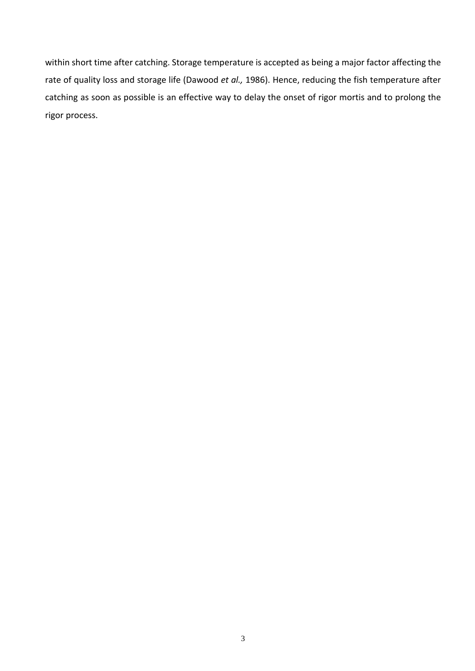within short time after catching. Storage temperature is accepted as being a major factor affecting the rate of quality loss and storage life (Dawood *et al.,* 1986). Hence, reducing the fish temperature after catching as soon as possible is an effective way to delay the onset of rigor mortis and to prolong the rigor process.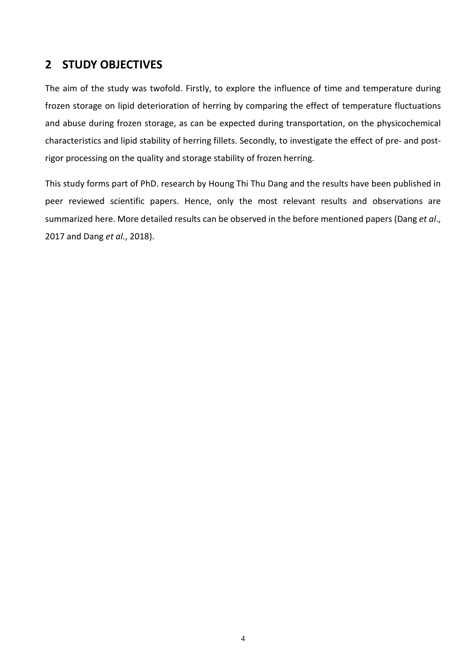## <span id="page-7-0"></span>**2 STUDY OBJECTIVES**

The aim of the study was twofold. Firstly, to explore the influence of time and temperature during frozen storage on lipid deterioration of herring by comparing the effect of temperature fluctuations and abuse during frozen storage, as can be expected during transportation, on the physicochemical characteristics and lipid stability of herring fillets. Secondly, to investigate the effect of pre- and postrigor processing on the quality and storage stability of frozen herring.

This study forms part of PhD. research by Houng Thi Thu Dang and the results have been published in peer reviewed scientific papers. Hence, only the most relevant results and observations are summarized here. More detailed results can be observed in the before mentioned papers (Dang *et al*., 2017 and Dang *et al.*, 2018).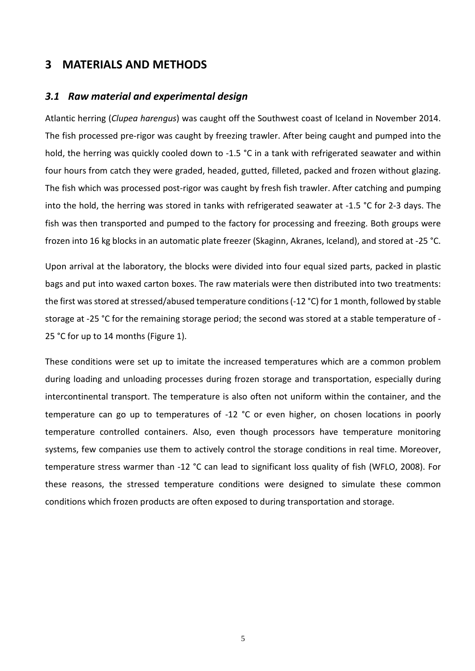#### <span id="page-8-0"></span>**3 MATERIALS AND METHODS**

#### <span id="page-8-1"></span>*3.1 Raw material and experimental design*

Atlantic herring (*Clupea harengus*) was caught off the Southwest coast of Iceland in November 2014. The fish processed pre-rigor was caught by freezing trawler. After being caught and pumped into the hold, the herring was quickly cooled down to -1.5 °C in a tank with refrigerated seawater and within four hours from catch they were graded, headed, gutted, filleted, packed and frozen without glazing. The fish which was processed post-rigor was caught by fresh fish trawler. After catching and pumping into the hold, the herring was stored in tanks with refrigerated seawater at -1.5 °C for 2-3 days. The fish was then transported and pumped to the factory for processing and freezing. Both groups were frozen into 16 kg blocks in an automatic plate freezer (Skaginn, Akranes, Iceland), and stored at -25 °C.

Upon arrival at the laboratory, the blocks were divided into four equal sized parts, packed in plastic bags and put into waxed carton boxes. The raw materials were then distributed into two treatments: the first was stored at stressed/abused temperature conditions (-12 °C) for 1 month, followed by stable storage at -25 °C for the remaining storage period; the second was stored at a stable temperature of - 25 °C for up to 14 months [\(Figure 1\)](#page-9-1).

These conditions were set up to imitate the increased temperatures which are a common problem during loading and unloading processes during frozen storage and transportation, especially during intercontinental transport. The temperature is also often not uniform within the container, and the temperature can go up to temperatures of -12 °C or even higher, on chosen locations in poorly temperature controlled containers. Also, even though processors have temperature monitoring systems, few companies use them to actively control the storage conditions in real time. Moreover, temperature stress warmer than -12 °C can lead to significant loss quality of fish (WFLO, 2008). For these reasons, the stressed temperature conditions were designed to simulate these common conditions which frozen products are often exposed to during transportation and storage.

5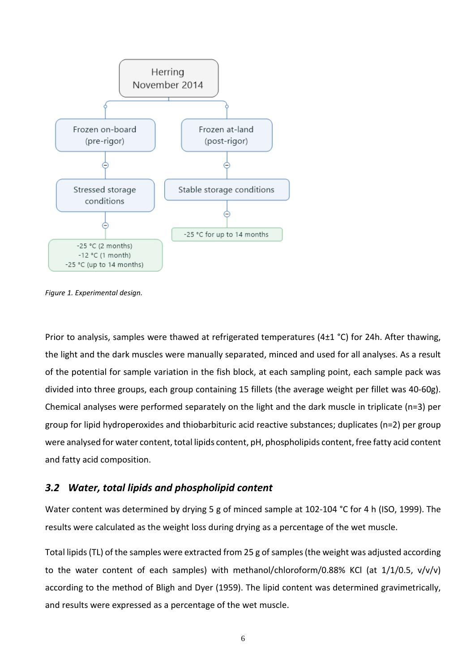

<span id="page-9-1"></span>*Figure 1. Experimental design.*

Prior to analysis, samples were thawed at refrigerated temperatures (4±1 °C) for 24h. After thawing, the light and the dark muscles were manually separated, minced and used for all analyses. As a result of the potential for sample variation in the fish block, at each sampling point, each sample pack was divided into three groups, each group containing 15 fillets (the average weight per fillet was 40-60g). Chemical analyses were performed separately on the light and the dark muscle in triplicate (n=3) per group for lipid hydroperoxides and thiobarbituric acid reactive substances; duplicates (n=2) per group were analysed for water content, total lipids content, pH, phospholipids content, free fatty acid content and fatty acid composition.

#### <span id="page-9-0"></span>*3.2 Water, total lipids and phospholipid content*

Water content was determined by drying 5 g of minced sample at 102-104 °C for 4 h (ISO, 1999). The results were calculated as the weight loss during drying as a percentage of the wet muscle.

Total lipids (TL) of the samples were extracted from 25 g of samples (the weight was adjusted according to the water content of each samples) with methanol/chloroform/0.88% KCl (at 1/1/0.5, v/v/v) according to the method of Bligh and Dyer (1959). The lipid content was determined gravimetrically, and results were expressed as a percentage of the wet muscle.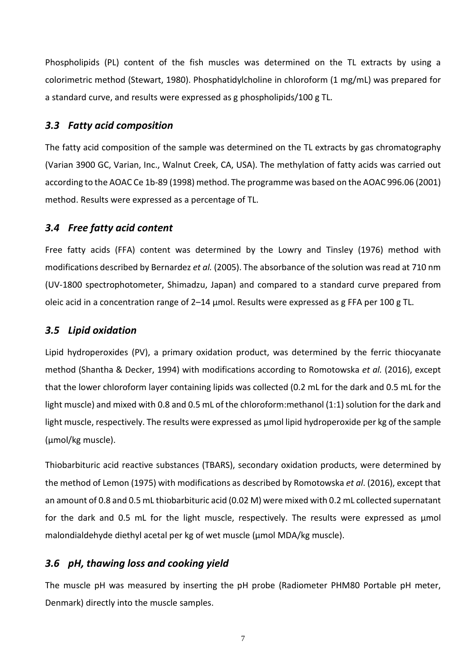Phospholipids (PL) content of the fish muscles was determined on the TL extracts by using a colorimetric method (Stewart, 1980). Phosphatidylcholine in chloroform (1 mg/mL) was prepared for a standard curve, and results were expressed as g phospholipids/100 g TL.

#### <span id="page-10-0"></span>*3.3 Fatty acid composition*

The fatty acid composition of the sample was determined on the TL extracts by gas chromatography (Varian 3900 GC, Varian, Inc., Walnut Creek, CA, USA). The methylation of fatty acids was carried out according to the AOAC Ce 1b-89 (1998) method. The programme was based on the AOAC 996.06 (2001) method. Results were expressed as a percentage of TL.

#### <span id="page-10-1"></span>*3.4 Free fatty acid content*

Free fatty acids (FFA) content was determined by the Lowry and Tinsley (1976) method with modifications described by Bernardez *et al.* (2005). The absorbance of the solution was read at 710 nm (UV-1800 spectrophotometer, Shimadzu, Japan) and compared to a standard curve prepared from oleic acid in a concentration range of 2–14 μmol. Results were expressed as g FFA per 100 g TL.

#### <span id="page-10-2"></span>*3.5 Lipid oxidation*

Lipid hydroperoxides (PV), a primary oxidation product, was determined by the ferric thiocyanate method (Shantha & Decker, 1994) with modifications according to Romotowska *et al.* (2016), except that the lower chloroform layer containing lipids was collected (0.2 mL for the dark and 0.5 mL for the light muscle) and mixed with 0.8 and 0.5 mL of the chloroform:methanol (1:1) solution for the dark and light muscle, respectively. The results were expressed as μmol lipid hydroperoxide per kg of the sample (μmol/kg muscle).

Thiobarbituric acid reactive substances (TBARS), secondary oxidation products, were determined by the method of Lemon (1975) with modifications as described by Romotowska *et al*. (2016), except that an amount of 0.8 and 0.5 mL thiobarbituric acid (0.02 M) were mixed with 0.2 mL collected supernatant for the dark and 0.5 mL for the light muscle, respectively. The results were expressed as μmol malondialdehyde diethyl acetal per kg of wet muscle (μmol MDA/kg muscle).

#### <span id="page-10-3"></span>*3.6 pH, thawing loss and cooking yield*

The muscle pH was measured by inserting the pH probe (Radiometer PHM80 Portable pH meter, Denmark) directly into the muscle samples.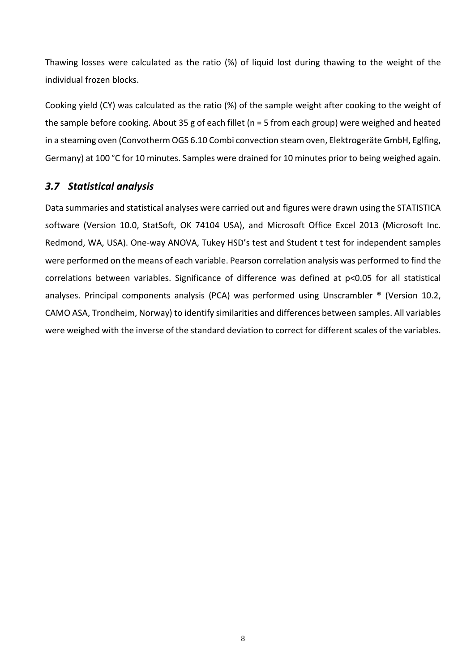Thawing losses were calculated as the ratio (%) of liquid lost during thawing to the weight of the individual frozen blocks.

Cooking yield (CY) was calculated as the ratio (%) of the sample weight after cooking to the weight of the sample before cooking. About 35 g of each fillet (n = 5 from each group) were weighed and heated in a steaming oven (Convotherm OGS 6.10 Combi convection steam oven, Elektrogeräte GmbH, Eglfing, Germany) at 100 °C for 10 minutes. Samples were drained for 10 minutes prior to being weighed again.

### <span id="page-11-0"></span>*3.7 Statistical analysis*

Data summaries and statistical analyses were carried out and figures were drawn using the STATISTICA software (Version 10.0, StatSoft, OK 74104 USA), and Microsoft Office Excel 2013 (Microsoft Inc. Redmond, WA, USA). One-way ANOVA, Tukey HSD's test and Student t test for independent samples were performed on the means of each variable. Pearson correlation analysis was performed to find the correlations between variables. Significance of difference was defined at p<0.05 for all statistical analyses. Principal components analysis (PCA) was performed using Unscrambler ® (Version 10.2, CAMO ASA, Trondheim, Norway) to identify similarities and differences between samples. All variables were weighed with the inverse of the standard deviation to correct for different scales of the variables.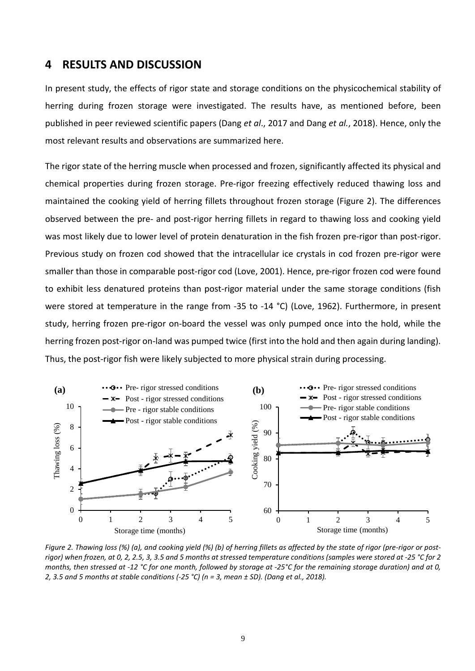#### <span id="page-12-0"></span>**4 RESULTS AND DISCUSSION**

In present study, the effects of rigor state and storage conditions on the physicochemical stability of herring during frozen storage were investigated. The results have, as mentioned before, been published in peer reviewed scientific papers (Dang *et al*., 2017 and Dang *et al.*, 2018). Hence, only the most relevant results and observations are summarized here.

The rigor state of the herring muscle when processed and frozen, significantly affected its physical and chemical properties during frozen storage. Pre-rigor freezing effectively reduced thawing loss and maintained the cooking yield of herring fillets throughout frozen storage [\(Figure 2\)](#page-12-1). The differences observed between the pre- and post-rigor herring fillets in regard to thawing loss and cooking yield was most likely due to lower level of protein denaturation in the fish frozen pre-rigor than post-rigor. Previous study on frozen cod showed that the intracellular ice crystals in cod frozen pre-rigor were smaller than those in comparable post-rigor cod (Love, 2001). Hence, pre-rigor frozen cod were found to exhibit less denatured proteins than post-rigor material under the same storage conditions (fish were stored at temperature in the range from -35 to -14 °C) (Love, 1962). Furthermore, in present study, herring frozen pre-rigor on-board the vessel was only pumped once into the hold, while the herring frozen post-rigor on-land was pumped twice (first into the hold and then again during landing). Thus, the post-rigor fish were likely subjected to more physical strain during processing.



<span id="page-12-1"></span>*Figure 2. Thawing loss (%) (a), and cooking yield (%) (b) of herring fillets as affected by the state of rigor (pre-rigor or postrigor) when frozen, at 0, 2, 2.5, 3, 3.5 and 5 months at stressed temperature conditions (samples were stored at -25 °C for 2 months, then stressed at -12 °C for one month, followed by storage at -25°C for the remaining storage duration) and at 0, 2, 3.5 and 5 months at stable conditions (-25 °C) (n = 3, mean ± SD). (Dang et al., 2018).*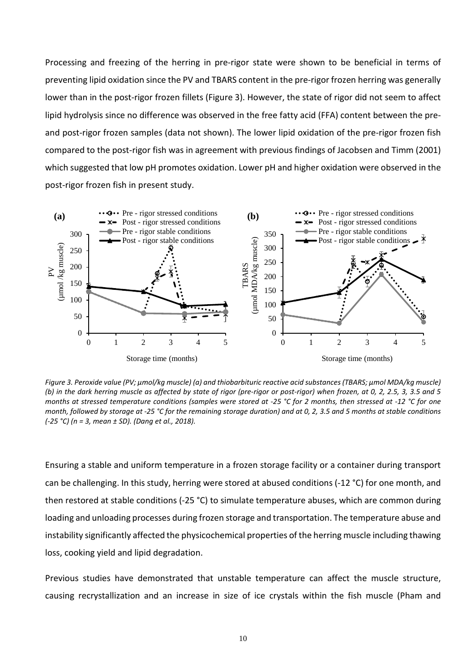Processing and freezing of the herring in pre-rigor state were shown to be beneficial in terms of preventing lipid oxidation since the PV and TBARS content in the pre-rigor frozen herring was generally lower than in the post-rigor frozen fillets [\(Figure 3\)](#page-13-0). However, the state of rigor did not seem to affect lipid hydrolysis since no difference was observed in the free fatty acid (FFA) content between the preand post-rigor frozen samples (data not shown). The lower lipid oxidation of the pre-rigor frozen fish compared to the post-rigor fish was in agreement with previous findings of Jacobsen and Timm (2001) which suggested that low pH promotes oxidation. Lower pH and higher oxidation were observed in the post-rigor frozen fish in present study.



<span id="page-13-0"></span>*Figure 3. Peroxide value (PV; μmol/kg muscle) (a) and thiobarbituric reactive acid substances (TBARS; μmol MDA/kg muscle) (b) in the dark herring muscle as affected by state of rigor (pre-rigor or post-rigor) when frozen, at 0, 2, 2.5, 3, 3.5 and 5 months at stressed temperature conditions (samples were stored at -25 °C for 2 months, then stressed at -12 °C for one month, followed by storage at -25 °C for the remaining storage duration) and at 0, 2, 3.5 and 5 months at stable conditions (-25 °C) (n = 3, mean ± SD). (Dang et al., 2018).*

Ensuring a stable and uniform temperature in a frozen storage facility or a container during transport can be challenging. In this study, herring were stored at abused conditions (-12 °C) for one month, and then restored at stable conditions (-25 °C) to simulate temperature abuses, which are common during loading and unloading processes during frozen storage and transportation. The temperature abuse and instability significantly affected the physicochemical properties of the herring muscle including thawing loss, cooking yield and lipid degradation.

Previous studies have demonstrated that unstable temperature can affect the muscle structure, causing recrystallization and an increase in size of ice crystals within the fish muscle (Pham and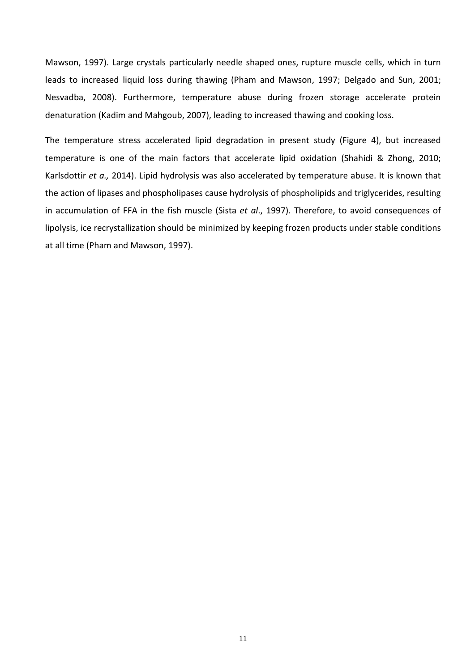Mawson, 1997). Large crystals particularly needle shaped ones, rupture muscle cells, which in turn leads to increased liquid loss during thawing (Pham and Mawson, 1997; Delgado and Sun, 2001; Nesvadba, 2008). Furthermore, temperature abuse during frozen storage accelerate protein denaturation (Kadim and Mahgoub, 2007), leading to increased thawing and cooking loss.

The temperature stress accelerated lipid degradation in present study [\(Figure 4\)](#page-15-0), but increased temperature is one of the main factors that accelerate lipid oxidation (Shahidi & Zhong, 2010; Karlsdottir *et a.,* 2014). Lipid hydrolysis was also accelerated by temperature abuse. It is known that the action of lipases and phospholipases cause hydrolysis of phospholipids and triglycerides, resulting in accumulation of FFA in the fish muscle (Sista *et al*., 1997). Therefore, to avoid consequences of lipolysis, ice recrystallization should be minimized by keeping frozen products under stable conditions at all time (Pham and Mawson, 1997).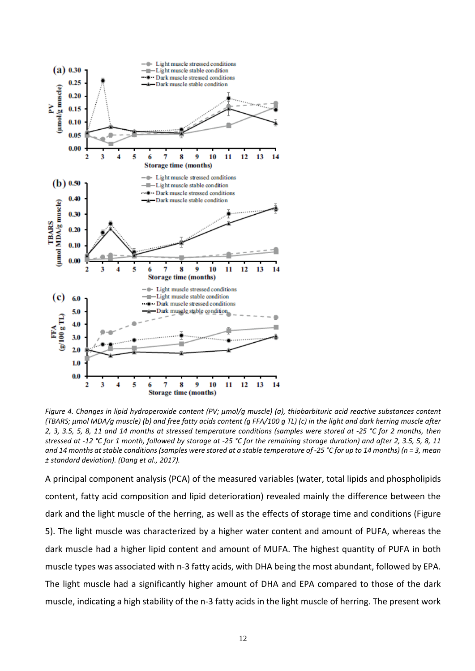

<span id="page-15-0"></span>*Figure 4. Changes in lipid hydroperoxide content (PV; μmol/g muscle) (a), thiobarbituric acid reactive substances content (TBARS; μmol MDA/g muscle) (b) and free fatty acids content (g FFA/100 g TL) (c) in the light and dark herring muscle after 2, 3, 3.5, 5, 8, 11 and 14 months at stressed temperature conditions (samples were stored at -25 °C for 2 months, then stressed at -12 °C for 1 month, followed by storage at -25 °C for the remaining storage duration) and after 2, 3.5, 5, 8, 11 and 14 months at stable conditions (samples were stored at a stable temperature of -25 °C for up to 14 months) (n = 3, mean ± standard deviation). (Dang et al., 2017).*

A principal component analysis (PCA) of the measured variables (water, total lipids and phospholipids content, fatty acid composition and lipid deterioration) revealed mainly the difference between the dark and the light muscle of the herring, as well as the effects of storage time and conditions [\(Figure](#page-16-0)  [5\)](#page-16-0). The light muscle was characterized by a higher water content and amount of PUFA, whereas the dark muscle had a higher lipid content and amount of MUFA. The highest quantity of PUFA in both muscle types was associated with n-3 fatty acids, with DHA being the most abundant, followed by EPA. The light muscle had a significantly higher amount of DHA and EPA compared to those of the dark muscle, indicating a high stability of the n-3 fatty acids in the light muscle of herring. The present work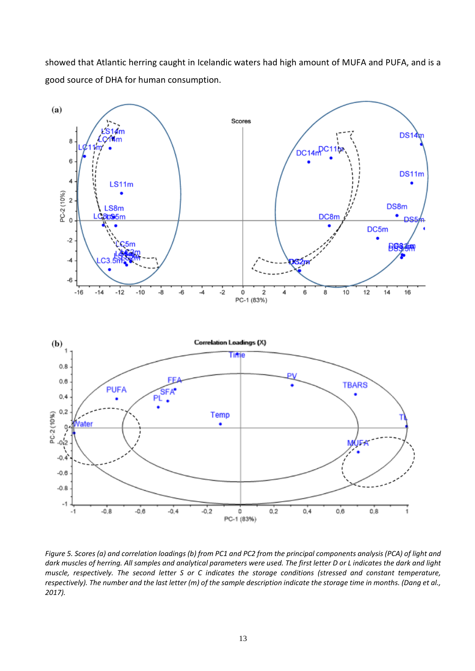showed that Atlantic herring caught in Icelandic waters had high amount of MUFA and PUFA, and is a good source of DHA for human consumption.



<span id="page-16-0"></span>*Figure 5. Scores (a) and correlation loadings (b) from PC1 and PC2 from the principal components analysis (PCA) of light and dark muscles of herring. All samples and analytical parameters were used. The first letter D or L indicates the dark and light muscle, respectively. The second letter S or C indicates the storage conditions (stressed and constant temperature, respectively). The number and the last letter (m) of the sample description indicate the storage time in months. (Dang et al., 2017).*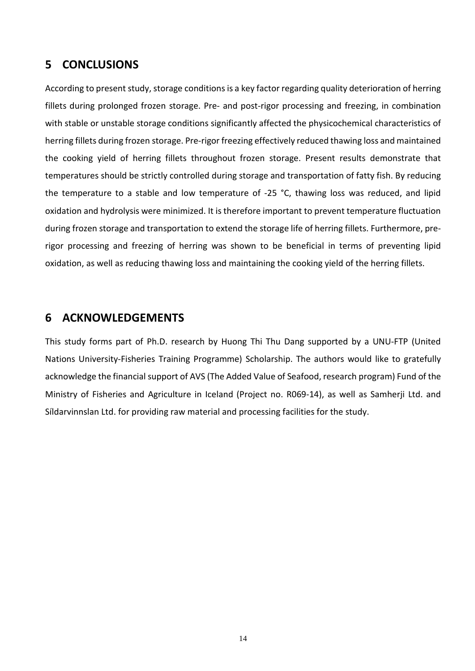## <span id="page-17-0"></span>**5 CONCLUSIONS**

According to present study, storage conditions is a key factor regarding quality deterioration of herring fillets during prolonged frozen storage. Pre- and post-rigor processing and freezing, in combination with stable or unstable storage conditions significantly affected the physicochemical characteristics of herring fillets during frozen storage. Pre-rigor freezing effectively reduced thawing loss and maintained the cooking yield of herring fillets throughout frozen storage. Present results demonstrate that temperatures should be strictly controlled during storage and transportation of fatty fish. By reducing the temperature to a stable and low temperature of -25 °C, thawing loss was reduced, and lipid oxidation and hydrolysis were minimized. It is therefore important to prevent temperature fluctuation during frozen storage and transportation to extend the storage life of herring fillets. Furthermore, prerigor processing and freezing of herring was shown to be beneficial in terms of preventing lipid oxidation, as well as reducing thawing loss and maintaining the cooking yield of the herring fillets.

### <span id="page-17-1"></span>**6 ACKNOWLEDGEMENTS**

This study forms part of Ph.D. research by Huong Thi Thu Dang supported by a UNU-FTP (United Nations University-Fisheries Training Programme) Scholarship. The authors would like to gratefully acknowledge the financial support of AVS (The Added Value of Seafood, research program) Fund of the Ministry of Fisheries and Agriculture in Iceland (Project no. R069-14), as well as Samherji Ltd. and Síldarvinnslan Ltd. for providing raw material and processing facilities for the study.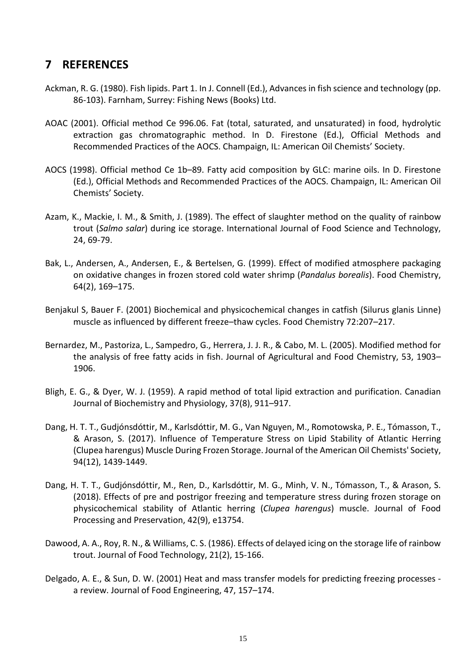## <span id="page-18-0"></span>**7 REFERENCES**

- Ackman, R. G. (1980). Fish lipids. Part 1. In J. Connell (Ed.), Advances in fish science and technology (pp. 86-103). Farnham, Surrey: Fishing News (Books) Ltd.
- AOAC (2001). Official method Ce 996.06. Fat (total, saturated, and unsaturated) in food, hydrolytic extraction gas chromatographic method. In D. Firestone (Ed.), Official Methods and Recommended Practices of the AOCS. Champaign, IL: American Oil Chemists' Society.
- AOCS (1998). Official method Ce 1b–89. Fatty acid composition by GLC: marine oils. In D. Firestone (Ed.), Official Methods and Recommended Practices of the AOCS. Champaign, IL: American Oil Chemists' Society.
- Azam, K., Mackie, I. M., & Smith, J. (1989). The effect of slaughter method on the quality of rainbow trout (*Salmo salar*) during ice storage. International Journal of Food Science and Technology, 24, 69-79.
- Bak, L., Andersen, A., Andersen, E., & Bertelsen, G. (1999). Effect of modified atmosphere packaging on oxidative changes in frozen stored cold water shrimp (*Pandalus borealis*). Food Chemistry, 64(2), 169–175.
- Benjakul S, Bauer F. (2001) Biochemical and physicochemical changes in catfish (Silurus glanis Linne) muscle as influenced by different freeze–thaw cycles. Food Chemistry 72:207–217.
- Bernardez, M., Pastoriza, L., Sampedro, G., Herrera, J. J. R., & Cabo, M. L. (2005). Modified method for the analysis of free fatty acids in fish. Journal of Agricultural and Food Chemistry, 53, 1903– 1906.
- Bligh, E. G., & Dyer, W. J. (1959). A rapid method of total lipid extraction and purification. Canadian Journal of Biochemistry and Physiology, 37(8), 911–917.
- Dang, H. T. T., Gudjónsdóttir, M., Karlsdóttir, M. G., Van Nguyen, M., Romotowska, P. E., Tómasson, T., & Arason, S. (2017). Influence of Temperature Stress on Lipid Stability of Atlantic Herring (Clupea harengus) Muscle During Frozen Storage. Journal of the American Oil Chemists' Society, 94(12), 1439-1449.
- Dang, H. T. T., Gudjónsdóttir, M., Ren, D., Karlsdóttir, M. G., Minh, V. N., Tómasson, T., & Arason, S. (2018). Effects of pre and postrigor freezing and temperature stress during frozen storage on physicochemical stability of Atlantic herring (*Clupea harengus*) muscle. Journal of Food Processing and Preservation, 42(9), e13754.
- Dawood, A. A., Roy, R. N., & Williams, C. S. (1986). Effects of delayed icing on the storage life of rainbow trout. Journal of Food Technology, 21(2), 15-166.
- Delgado, A. E., & Sun, D. W. (2001) Heat and mass transfer models for predicting freezing processes a review. Journal of Food Engineering, 47, 157–174.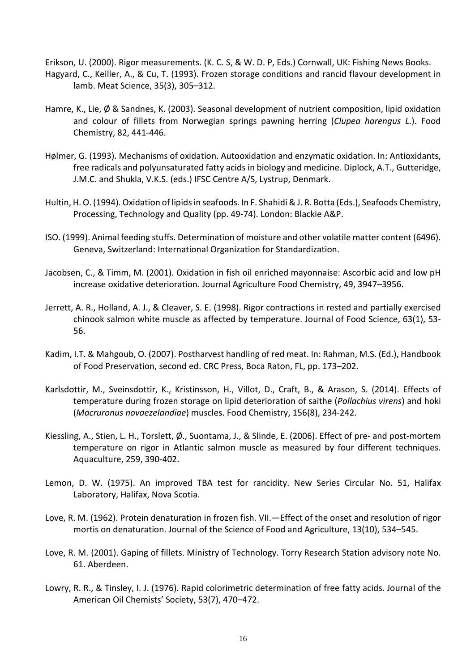Erikson, U. (2000). Rigor measurements. (K. C. S, & W. D. P, Eds.) Cornwall, UK: Fishing News Books. Hagyard, C., Keiller, A., & Cu, T. (1993). Frozen storage conditions and rancid flavour development in lamb. Meat Science, 35(3), 305–312.

- Hamre, K., Lie, Ø & Sandnes, K. (2003). Seasonal development of nutrient composition, lipid oxidation and colour of fillets from Norwegian springs pawning herring (*Clupea harengus L*.). Food Chemistry, 82, 441-446.
- Hølmer, G. (1993). Mechanisms of oxidation. Autooxidation and enzymatic oxidation. In: Antioxidants, free radicals and polyunsaturated fatty acids in biology and medicine. Diplock, A.T., Gutteridge, J.M.C. and Shukla, V.K.S. (eds.) IFSC Centre A/S, Lystrup, Denmark.
- Hultin, H. O. (1994). Oxidation of lipids in seafoods. In F. Shahidi & J. R. Botta (Eds.), Seafoods Chemistry, Processing, Technology and Quality (pp. 49-74). London: Blackie A&P.
- ISO. (1999). Animal feeding stuffs. Determination of moisture and other volatile matter content (6496). Geneva, Switzerland: International Organization for Standardization.
- Jacobsen, C., & Timm, M. (2001). Oxidation in fish oil enriched mayonnaise: Ascorbic acid and low pH increase oxidative deterioration. Journal Agriculture Food Chemistry, 49, 3947–3956.
- Jerrett, A. R., Holland, A. J., & Cleaver, S. E. (1998). Rigor contractions in rested and partially exercised chinook salmon white muscle as affected by temperature. Journal of Food Science, 63(1), 53- 56.
- Kadim, I.T. & Mahgoub, O. (2007). Postharvest handling of red meat. In: Rahman, M.S. (Ed.), Handbook of Food Preservation, second ed. CRC Press, Boca Raton, FL, pp. 173–202.
- Karlsdottir, M., Sveinsdottir, K., Kristinsson, H., Villot, D., Craft, B., & Arason, S. (2014). Effects of temperature during frozen storage on lipid deterioration of saithe (*Pollachius virens*) and hoki (*Macruronus novaezelandiae*) muscles. Food Chemistry, 156(8), 234-242.
- Kiessling, A., Stien, L. H., Torslett, Ø., Suontama, J., & Slinde, E. (2006). Effect of pre- and post-mortem temperature on rigor in Atlantic salmon muscle as measured by four different techniques. Aquaculture, 259, 390-402.
- Lemon, D. W. (1975). An improved TBA test for rancidity. New Series Circular No. 51, Halifax Laboratory, Halifax, Nova Scotia.
- Love, R. M. (1962). Protein denaturation in frozen fish. VII.—Effect of the onset and resolution of rigor mortis on denaturation. Journal of the Science of Food and Agriculture, 13(10), 534–545.
- Love, R. M. (2001). Gaping of fillets. Ministry of Technology. Torry Research Station advisory note No. 61. Aberdeen.
- Lowry, R. R., & Tinsley, I. J. (1976). Rapid colorimetric determination of free fatty acids. Journal of the American Oil Chemists' Society, 53(7), 470–472.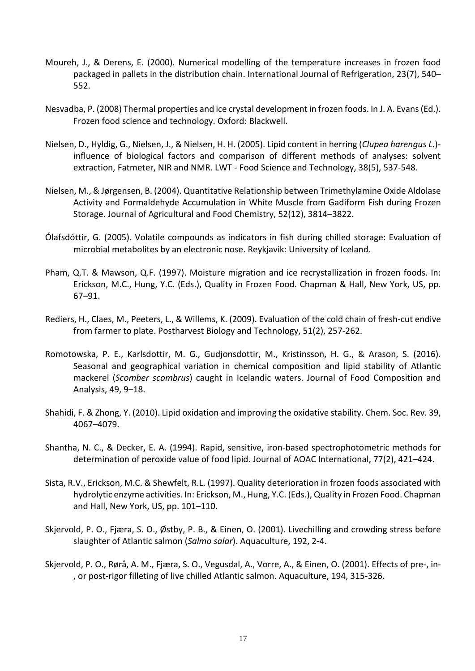- Moureh, J., & Derens, E. (2000). Numerical modelling of the temperature increases in frozen food packaged in pallets in the distribution chain. International Journal of Refrigeration, 23(7), 540– 552.
- Nesvadba, P. (2008) Thermal properties and ice crystal development in frozen foods. In J. A. Evans (Ed.). Frozen food science and technology. Oxford: Blackwell.
- Nielsen, D., Hyldig, G., Nielsen, J., & Nielsen, H. H. (2005). Lipid content in herring (*Clupea harengus L.*) influence of biological factors and comparison of different methods of analyses: solvent extraction, Fatmeter, NIR and NMR. LWT - Food Science and Technology, 38(5), 537-548.
- Nielsen, M., & Jørgensen, B. (2004). Quantitative Relationship between Trimethylamine Oxide Aldolase Activity and Formaldehyde Accumulation in White Muscle from Gadiform Fish during Frozen Storage. Journal of Agricultural and Food Chemistry, 52(12), 3814–3822.
- Ólafsdóttir, G. (2005). Volatile compounds as indicators in fish during chilled storage: Evaluation of microbial metabolites by an electronic nose. Reykjavik: University of Iceland.
- Pham, Q.T. & Mawson, Q.F. (1997). Moisture migration and ice recrystallization in frozen foods. In: Erickson, M.C., Hung, Y.C. (Eds.), Quality in Frozen Food. Chapman & Hall, New York, US, pp. 67–91.
- Rediers, H., Claes, M., Peeters, L., & Willems, K. (2009). Evaluation of the cold chain of fresh-cut endive from farmer to plate. Postharvest Biology and Technology, 51(2), 257-262.
- Romotowska, P. E., Karlsdottir, M. G., Gudjonsdottir, M., Kristinsson, H. G., & Arason, S. (2016). Seasonal and geographical variation in chemical composition and lipid stability of Atlantic mackerel (*Scomber scombrus*) caught in Icelandic waters. Journal of Food Composition and Analysis, 49, 9–18.
- Shahidi, F. & Zhong, Y. (2010). Lipid oxidation and improving the oxidative stability. Chem. Soc. Rev. 39, 4067–4079.
- Shantha, N. C., & Decker, E. A. (1994). Rapid, sensitive, iron-based spectrophotometric methods for determination of peroxide value of food lipid. Journal of AOAC International, 77(2), 421–424.
- Sista, R.V., Erickson, M.C. & Shewfelt, R.L. (1997). Quality deterioration in frozen foods associated with hydrolytic enzyme activities. In: Erickson, M., Hung, Y.C. (Eds.), Quality in Frozen Food. Chapman and Hall, New York, US, pp. 101–110.
- Skjervold, P. O., Fjæra, S. O., Østby, P. B., & Einen, O. (2001). Livechilling and crowding stress before slaughter of Atlantic salmon (*Salmo salar*). Aquaculture, 192, 2-4.
- Skjervold, P. O., Rørå, A. M., Fjæra, S. O., Vegusdal, A., Vorre, A., & Einen, O. (2001). Effects of pre-, in- , or post-rigor filleting of live chilled Atlantic salmon. Aquaculture, 194, 315-326.